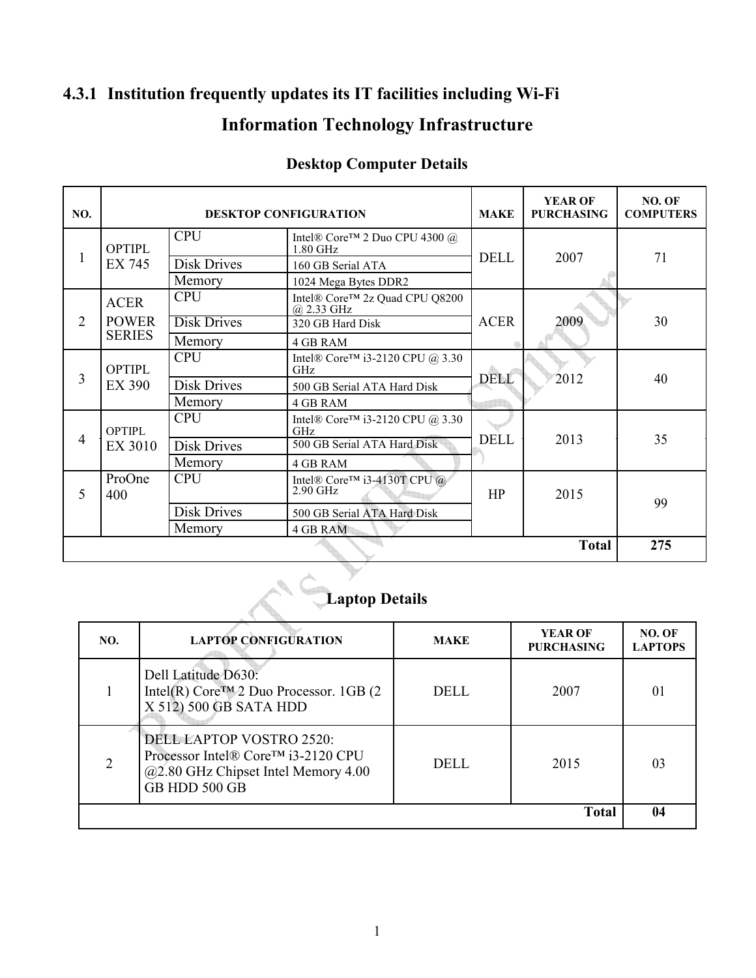### **4.3.1 Institution frequently updates its IT facilities including Wi-Fi Information Technology Infrastructure**

| <b>Desktop Computer Details</b> |  |
|---------------------------------|--|
|                                 |  |

| NO.            |                         | <b>DESKTOP CONFIGURATION</b> | <b>MAKE</b>                                                | <b>YEAR OF</b><br><b>PURCHASING</b> | NO. OF<br><b>COMPUTERS</b> |     |
|----------------|-------------------------|------------------------------|------------------------------------------------------------|-------------------------------------|----------------------------|-----|
|                | <b>OPTIPL</b>           | <b>CPU</b>                   | Intel® Core™ 2 Duo CPU 4300 @<br>1.80 GHz                  |                                     | 2007                       | 71  |
|                | EX 745                  | <b>Disk Drives</b>           | 160 GB Serial ATA                                          | <b>DELL</b>                         |                            |     |
|                |                         | Memory                       | 1024 Mega Bytes DDR2                                       |                                     |                            |     |
|                | <b>ACER</b>             | <b>CPU</b>                   | Intel® Core™ 2z Quad CPU Q8200<br>$@2.33 \text{ GHz}$      |                                     | 2009                       |     |
| $\overline{2}$ | <b>POWER</b>            | <b>Disk Drives</b>           | 320 GB Hard Disk                                           | <b>ACER</b>                         |                            | 30  |
|                | <b>SERIES</b>           | Memory                       | <b>4 GB RAM</b>                                            |                                     |                            |     |
|                | <b>OPTIPL</b><br>EX 390 | <b>CPU</b>                   | Intel® Core <sup>TM</sup> i3-2120 CPU @ 3.30<br>GHz        |                                     |                            | 40  |
| 3              |                         | <b>Disk Drives</b>           | 500 GB Serial ATA Hard Disk                                | <b>DELL</b>                         | 2012                       |     |
|                |                         | Memory                       | 4 GB RAM                                                   |                                     |                            |     |
|                | <b>OPTIPL</b>           | <b>CPU</b>                   | Intel® Core <sup>TM</sup> i3-2120 CPU @ 3.30<br><b>GHz</b> |                                     |                            |     |
| 4              | EX 3010                 | <b>Disk Drives</b>           | 500 GB Serial ATA Hard Disk                                | <b>DELL</b><br>2013                 |                            | 35  |
|                |                         | Memory                       | 4 GB RAM                                                   |                                     |                            |     |
| 5              | ProOne<br>400           | <b>CPU</b>                   | Intel® Core <sup>TM</sup> i3-4130T CPU @<br>$2.90$ GHz     | HP                                  | 2015                       | 99  |
|                |                         | <b>Disk Drives</b>           | 500 GB Serial ATA Hard Disk                                |                                     |                            |     |
|                |                         | Memory                       | 4 GB RAM                                                   |                                     |                            |     |
| <b>Total</b>   |                         |                              |                                                            |                                     |                            | 275 |

# **Laptop Details**

| NO.          | <b>LAPTOP CONFIGURATION</b>                                                                                                   | <b>MAKE</b> | <b>YEAR OF</b><br><b>PURCHASING</b> | NO. OF<br><b>LAPTOPS</b> |
|--------------|-------------------------------------------------------------------------------------------------------------------------------|-------------|-------------------------------------|--------------------------|
|              | Dell Latitude D630:<br>Intel(R) Core <sup>TM</sup> 2 Duo Processor. 1GB (2)<br>X 512) 500 GB SATA HDD                         | DELL        | 2007                                | 01                       |
|              | <b>DELL LAPTOP VOSTRO 2520:</b><br>Processor Intel® Core™ i3-2120 CPU<br>@2.80 GHz Chipset Intel Memory 4.00<br>GB HDD 500 GB | DELL.       | 2015                                | 03                       |
| <b>Total</b> |                                                                                                                               |             |                                     |                          |